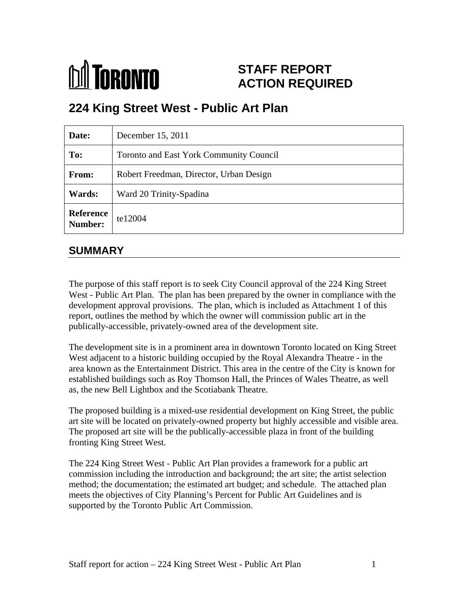

# **STAFF REPORT ACTION REQUIRED**

# **224 King Street West - Public Art Plan**

| Date:                        | December 15, 2011                       |
|------------------------------|-----------------------------------------|
| To:                          | Toronto and East York Community Council |
| From:                        | Robert Freedman, Director, Urban Design |
| <b>Wards:</b>                | Ward 20 Trinity-Spadina                 |
| Reference<br>Number: te12004 |                                         |

# **SUMMARY**

The purpose of this staff report is to seek City Council approval of the 224 King Street West - Public Art Plan. The plan has been prepared by the owner in compliance with the development approval provisions. The plan, which is included as Attachment 1 of this report, outlines the method by which the owner will commission public art in the publically-accessible, privately-owned area of the development site.

The development site is in a prominent area in downtown Toronto located on King Street West adjacent to a historic building occupied by the Royal Alexandra Theatre - in the area known as the Entertainment District. This area in the centre of the City is known for established buildings such as Roy Thomson Hall, the Princes of Wales Theatre, as well as, the new Bell Lightbox and the Scotiabank Theatre.

The proposed building is a mixed-use residential development on King Street, the public art site will be located on privately-owned property but highly accessible and visible area. The proposed art site will be the publically-accessible plaza in front of the building fronting King Street West.

The 224 King Street West - Public Art Plan provides a framework for a public art commission including the introduction and background; the art site; the artist selection method; the documentation; the estimated art budget; and schedule. The attached plan meets the objectives of City Planning's Percent for Public Art Guidelines and is supported by the Toronto Public Art Commission.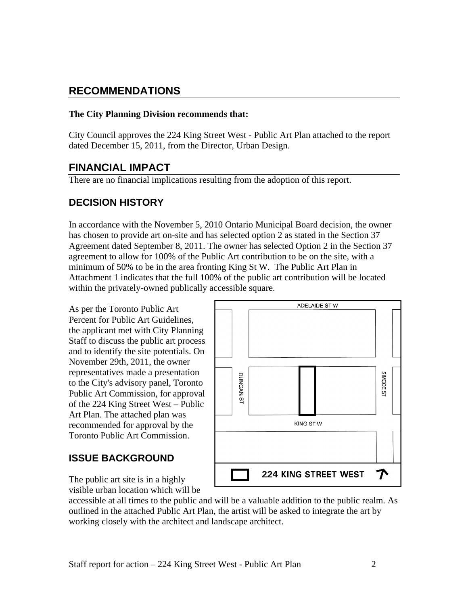# **RECOMMENDATIONS**

## **The City Planning Division recommends that:**

City Council approves the 224 King Street West - Public Art Plan attached to the report dated December 15, 2011, from the Director, Urban Design.

# **FINANCIAL IMPACT**

There are no financial implications resulting from the adoption of this report.

# **DECISION HISTORY**

In accordance with the November 5, 2010 Ontario Municipal Board decision, the owner has chosen to provide art on-site and has selected option 2 as stated in the Section 37 Agreement dated September 8, 2011. The owner has selected Option 2 in the Section 37 agreement to allow for 100% of the Public Art contribution to be on the site, with a minimum of 50% to be in the area fronting King St W. The Public Art Plan in Attachment 1 indicates that the full 100% of the public art contribution will be located within the privately-owned publically accessible square.

Percent for Public Art Guidelines, the applicant met with City Planning Staff to discuss the public art process and to identify the site potentials. On November 29th, 2011, the owner to the City's advisory panel, Toronto of the 224 King Street West – Public Art Plan. The attached plan was recommended for approval by the Toronto Public Art Commission.



visible urban location which will be

accessible at all times to the public and will be a valuable addition to the public realm. As outlined in the attached Public Art Plan, the artist will be asked to integrate the art by working closely with the architect and landscape architect.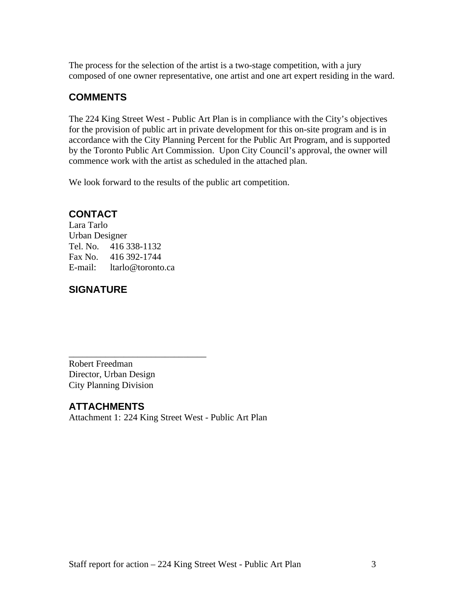The process for the selection of the artist is a two-stage competition, with a jury composed of one owner representative, one artist and one art expert residing in the ward.

# **COMMENTS**

The 224 King Street West - Public Art Plan is in compliance with the City's objectives for the provision of public art in private development for this on-site program and is in accordance with the City Planning Percent for the Public Art Program, and is supported by the Toronto Public Art Commission. Upon City Council's approval, the owner will commence work with the artist as scheduled in the attached plan.

We look forward to the results of the public art competition.

# **CONTACT**

Lara Tarlo Urban Designer Tel. No. 416 338-1132 Fax No. 416 392-1744 E-mail: ltarlo@toronto.ca

# **SIGNATURE**

Robert Freedman Director, Urban Design City Planning Division

# **ATTACHMENTS**

Attachment 1: 224 King Street West - Public Art Plan

 $\overline{\phantom{a}}$  , we can assume that the contract of  $\overline{\phantom{a}}$  , we can assume that the contract of  $\overline{\phantom{a}}$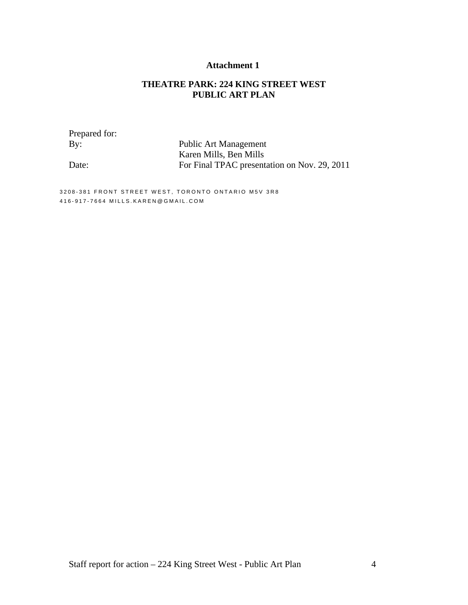## **Attachment 1**

## **THEATRE PARK: 224 KING STREET WEST PUBLIC ART PLAN**

Prepared for:

By: Public Art Management Karen Mills, Ben Mills Date: For Final TPAC presentation on Nov. 29, 2011

3208-381 FRONT STREET WEST, TORONTO ONTARIO M5V 3R8 4 1 6 - 9 1 7 - 7 6 6 4 M I L L S . K A R E N @ G M A I L . C O M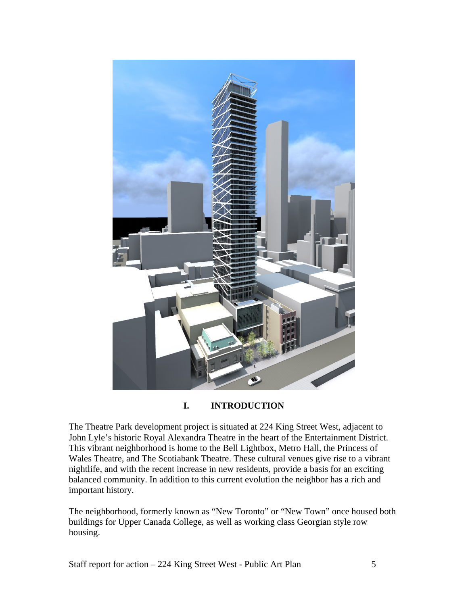

## **I. INTRODUCTION**

The Theatre Park development project is situated at 224 King Street West, adjacent to John Lyle's historic Royal Alexandra Theatre in the heart of the Entertainment District. This vibrant neighborhood is home to the Bell Lightbox, Metro Hall, the Princess of Wales Theatre, and The Scotiabank Theatre. These cultural venues give rise to a vibrant nightlife, and with the recent increase in new residents, provide a basis for an exciting balanced community. In addition to this current evolution the neighbor has a rich and important history.

The neighborhood, formerly known as "New Toronto" or "New Town" once housed both buildings for Upper Canada College, as well as working class Georgian style row housing.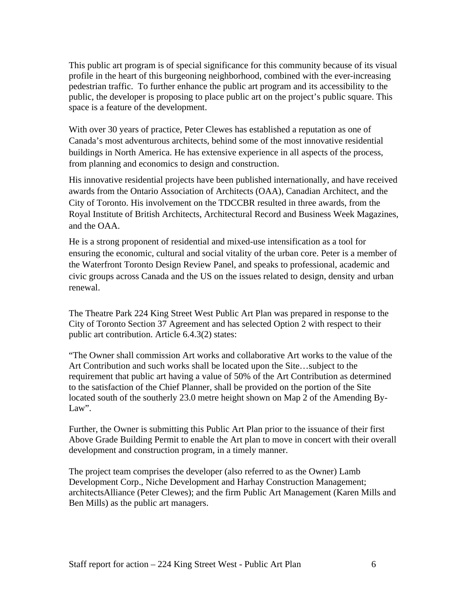This public art program is of special significance for this community because of its visual profile in the heart of this burgeoning neighborhood, combined with the ever-increasing pedestrian traffic. To further enhance the public art program and its accessibility to the public, the developer is proposing to place public art on the project's public square. This space is a feature of the development.

With over 30 years of practice, Peter Clewes has established a reputation as one of Canada's most adventurous architects, behind some of the most innovative residential buildings in North America. He has extensive experience in all aspects of the process, from planning and economics to design and construction.

His innovative residential projects have been published internationally, and have received awards from the Ontario Association of Architects (OAA), Canadian Architect, and the City of Toronto. His involvement on the TDCCBR resulted in three awards, from the Royal Institute of British Architects, Architectural Record and Business Week Magazines, and the OAA.

He is a strong proponent of residential and mixed-use intensification as a tool for ensuring the economic, cultural and social vitality of the urban core. Peter is a member of the Waterfront Toronto Design Review Panel, and speaks to professional, academic and civic groups across Canada and the US on the issues related to design, density and urban renewal.

The Theatre Park 224 King Street West Public Art Plan was prepared in response to the City of Toronto Section 37 Agreement and has selected Option 2 with respect to their public art contribution. Article 6.4.3(2) states:

"The Owner shall commission Art works and collaborative Art works to the value of the Art Contribution and such works shall be located upon the Site…subject to the requirement that public art having a value of 50% of the Art Contribution as determined to the satisfaction of the Chief Planner, shall be provided on the portion of the Site located south of the southerly 23.0 metre height shown on Map 2 of the Amending By- Law".

Further, the Owner is submitting this Public Art Plan prior to the issuance of their first Above Grade Building Permit to enable the Art plan to move in concert with their overall development and construction program, in a timely manner.

The project team comprises the developer (also referred to as the Owner) Lamb Development Corp., Niche Development and Harhay Construction Management; architectsAlliance (Peter Clewes); and the firm Public Art Management (Karen Mills and Ben Mills) as the public art managers.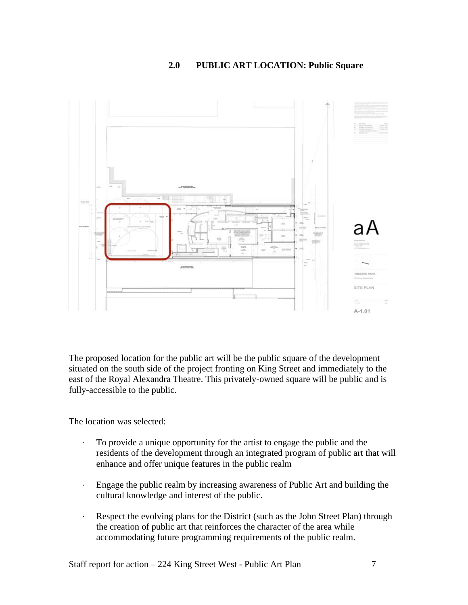## **2.0 PUBLIC ART LOCATION: Public Square**



The proposed location for the public art will be the public square of the development situated on the south side of the project fronting on King Street and immediately to the east of the Royal Alexandra Theatre. This privately-owned square will be public and is fully-accessible to the public.

The location was selected:

- · To provide a unique opportunity for the artist to engage the public and the residents of the development through an integrated program of public art that will enhance and offer unique features in the public realm
- · Engage the public realm by increasing awareness of Public Art and building the cultural knowledge and interest of the public.
- · Respect the evolving plans for the District (such as the John Street Plan) through the creation of public art that reinforces the character of the area while accommodating future programming requirements of the public realm.

Staff report for action – 224 King Street West - Public Art Plan 7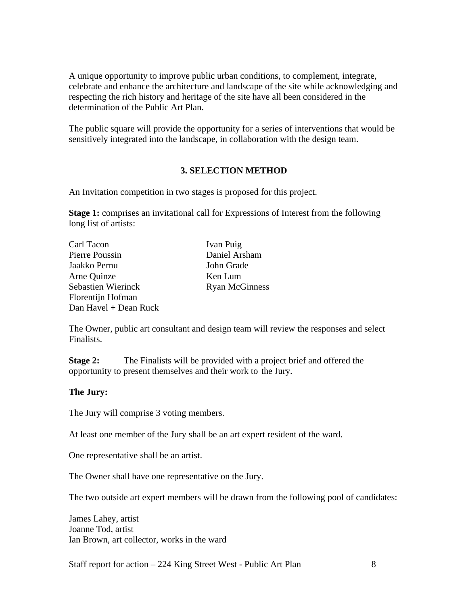A unique opportunity to improve public urban conditions, to complement, integrate, celebrate and enhance the architecture and landscape of the site while acknowledging and respecting the rich history and heritage of the site have all been considered in the determination of the Public Art Plan.

The public square will provide the opportunity for a series of interventions that would be sensitively integrated into the landscape, in collaboration with the design team.

## **3. SELECTION METHOD**

An Invitation competition in two stages is proposed for this project.

**Stage 1:** comprises an invitational call for Expressions of Interest from the following long list of artists:

| Carl Tacon            | Ivan Puig             |  |
|-----------------------|-----------------------|--|
| Pierre Poussin        | Daniel Arsham         |  |
| Jaakko Pernu          | John Grade            |  |
| Arne Quinze           | Ken Lum               |  |
| Sebastien Wierinck    | <b>Ryan McGinness</b> |  |
| Florentijn Hofman     |                       |  |
| Dan Havel + Dean Ruck |                       |  |

The Owner, public art consultant and design team will review the responses and select Finalists.

**Stage 2:** The Finalists will be provided with a project brief and offered the opportunity to present themselves and their work to the Jury.

## **The Jury:**

The Jury will comprise 3 voting members.

At least one member of the Jury shall be an art expert resident of the ward.

One representative shall be an artist.

The Owner shall have one representative on the Jury.

The two outside art expert members will be drawn from the following pool of candidates:

James Lahey, artist Joanne Tod, artist Ian Brown, art collector, works in the ward

Staff report for action – 224 King Street West - Public Art Plan 8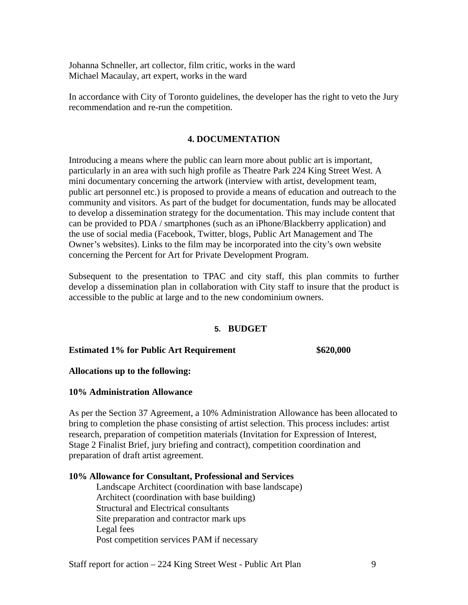Johanna Schneller, art collector, film critic, works in the ward Michael Macaulay, art expert, works in the ward

In accordance with City of Toronto guidelines, the developer has the right to veto the Jury recommendation and re-run the competition.

## **4. DOCUMENTATION**

Introducing a means where the public can learn more about public art is important, particularly in an area with such high profile as Theatre Park 224 King Street West. A mini documentary concerning the artwork (interview with artist, development team, public art personnel etc.) is proposed to provide a means of education and outreach to the community and visitors. As part of the budget for documentation, funds may be allocated to develop a dissemination strategy for the documentation. This may include content that can be provided to PDA / smartphones (such as an iPhone/Blackberry application) and the use of social media (Facebook, Twitter, blogs, Public Art Management and The Owner's websites). Links to the film may be incorporated into the city's own website concerning the Percent for Art for Private Development Program.

Subsequent to the presentation to TPAC and city staff, this plan commits to further develop a dissemination plan in collaboration with City staff to insure that the product is accessible to the public at large and to the new condominium owners.

## **5. BUDGET**

## **Estimated 1% for Public Art Requirement \$620,000**

## **Allocations up to the following:**

## **10% Administration Allowance**

As per the Section 37 Agreement, a 10% Administration Allowance has been allocated to bring to completion the phase consisting of artist selection. This process includes: artist research, preparation of competition materials (Invitation for Expression of Interest, Stage 2 Finalist Brief, jury briefing and contract), competition coordination and preparation of draft artist agreement.

#### **10% Allowance for Consultant, Professional and Services**

Landscape Architect (coordination with base landscape) Architect (coordination with base building) Structural and Electrical consultants Site preparation and contractor mark ups Legal fees Post competition services PAM if necessary

Staff report for action – 224 King Street West - Public Art Plan 9